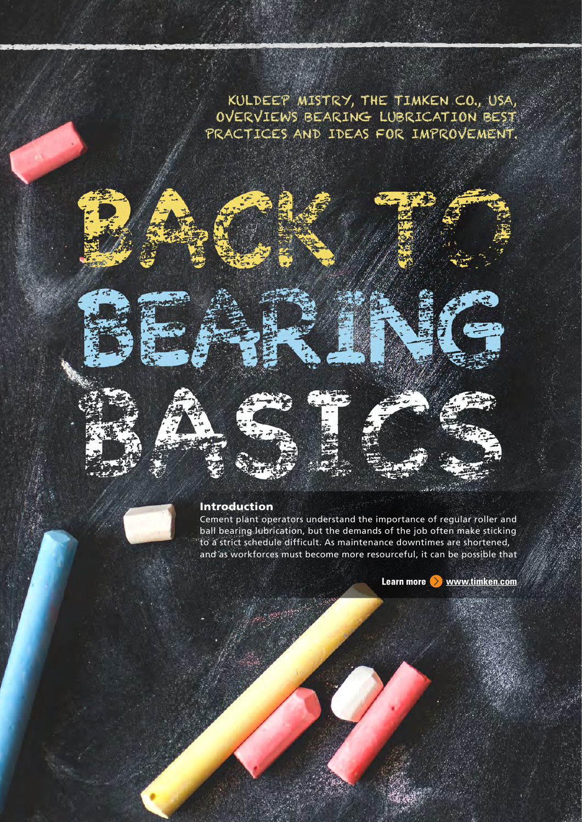KULDEEP MISTRY, THE TIMKEN CO., USA, OVERVIEWS BEARING LUBRICATION BEST PRACTICES AND IDEAS FOR IMPROVEMENT.

# Introduction

Cement plant operators understand the importance of regular roller and ball bearing lubrication, but the demands of the job often make sticking to a strict schedule difficult. As maintenance downtimes are shortened, and as workforces must become more resourceful, it can be possible that

Learn more **Www.timken.com**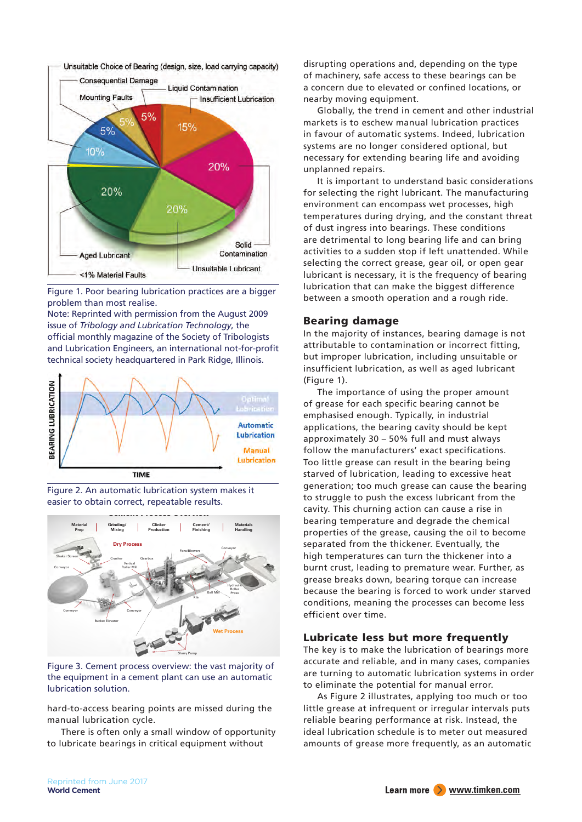

Figure 1. Poor bearing lubrication practices are a bigger problem than most realise.

Note: Reprinted with permission from the August 2009 issue of *Tribology and Lubrication Technology*, the official monthly magazine of the Society of Tribologists and Lubrication Engineers, an international not-for-profit technical society headquartered in Park Ridge, Illinois.







Figure 3. Cement process overview: the vast majority of the equipment in a cement plant can use an automatic lubrication solution.

hard-to-access bearing points are missed during the manual lubrication cycle.

There is often only a small window of opportunity to lubricate bearings in critical equipment without

disrupting operations and, depending on the type of machinery, safe access to these bearings can be a concern due to elevated or confined locations, or nearby moving equipment.

Globally, the trend in cement and other industrial markets is to eschew manual lubrication practices in favour of automatic systems. Indeed, lubrication systems are no longer considered optional, but necessary for extending bearing life and avoiding unplanned repairs.

It is important to understand basic considerations for selecting the right lubricant. The manufacturing environment can encompass wet processes, high temperatures during drying, and the constant threat of dust ingress into bearings. These conditions are detrimental to long bearing life and can bring activities to a sudden stop if left unattended. While selecting the correct grease, gear oil, or open gear lubricant is necessary, it is the frequency of bearing lubrication that can make the biggest difference between a smooth operation and a rough ride.

# Bearing damage

In the majority of instances, bearing damage is not attributable to contamination or incorrect fitting, but improper lubrication, including unsuitable or insufficient lubrication, as well as aged lubricant (Figure 1).

The importance of using the proper amount of grease for each specific bearing cannot be emphasised enough. Typically, in industrial applications, the bearing cavity should be kept approximately 30 – 50% full and must always follow the manufacturers' exact specifications. Too little grease can result in the bearing being starved of lubrication, leading to excessive heat generation; too much grease can cause the bearing to struggle to push the excess lubricant from the cavity. This churning action can cause a rise in bearing temperature and degrade the chemical properties of the grease, causing the oil to become separated from the thickener. Eventually, the high temperatures can turn the thickener into a burnt crust, leading to premature wear. Further, as grease breaks down, bearing torque can increase because the bearing is forced to work under starved conditions, meaning the processes can become less efficient over time.

# Lubricate less but more frequently

The key is to make the lubrication of bearings more accurate and reliable, and in many cases, companies are turning to automatic lubrication systems in order to eliminate the potential for manual error.

As Figure 2 illustrates, applying too much or too little grease at infrequent or irregular intervals puts reliable bearing performance at risk. Instead, the ideal lubrication schedule is to meter out measured amounts of grease more frequently, as an automatic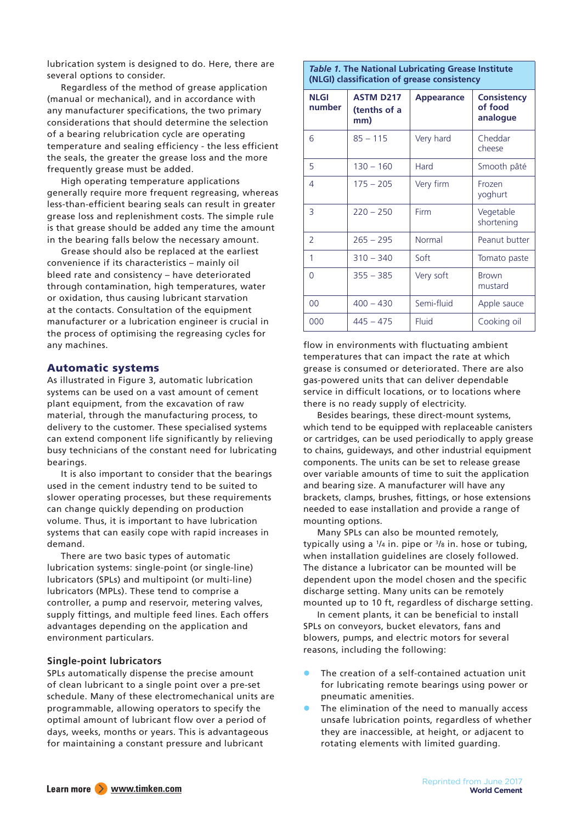lubrication system is designed to do. Here, there are several options to consider.

Regardless of the method of grease application (manual or mechanical), and in accordance with any manufacturer specifications, the two primary considerations that should determine the selection of a bearing relubrication cycle are operating temperature and sealing efficiency - the less efficient the seals, the greater the grease loss and the more frequently grease must be added.

High operating temperature applications generally require more frequent regreasing, whereas less-than-efficient bearing seals can result in greater grease loss and replenishment costs. The simple rule is that grease should be added any time the amount in the bearing falls below the necessary amount.

Grease should also be replaced at the earliest convenience if its characteristics – mainly oil bleed rate and consistency – have deteriorated through contamination, high temperatures, water or oxidation, thus causing lubricant starvation at the contacts. Consultation of the equipment manufacturer or a lubrication engineer is crucial in the process of optimising the regreasing cycles for any machines.

# Automatic systems

As illustrated in Figure 3, automatic lubrication systems can be used on a vast amount of cement plant equipment, from the excavation of raw material, through the manufacturing process, to delivery to the customer. These specialised systems can extend component life significantly by relieving busy technicians of the constant need for lubricating bearings.

It is also important to consider that the bearings used in the cement industry tend to be suited to slower operating processes, but these requirements can change quickly depending on production volume. Thus, it is important to have lubrication systems that can easily cope with rapid increases in demand.

There are two basic types of automatic lubrication systems: single-point (or single-line) lubricators (SPLs) and multipoint (or multi-line) lubricators (MPLs). These tend to comprise a controller, a pump and reservoir, metering valves, supply fittings, and multiple feed lines. Each offers advantages depending on the application and environment particulars.

# **Single-point lubricators**

SPLs automatically dispense the precise amount of clean lubricant to a single point over a pre-set schedule. Many of these electromechanical units are programmable, allowing operators to specify the optimal amount of lubricant flow over a period of days, weeks, months or years. This is advantageous for maintaining a constant pressure and lubricant

### *Table 1.* **The National Lubricating Grease Institute (NLGI) classification of grease consistency**

| <b>NLGI</b><br>number | <b>ASTM D217</b><br>(tenths of a<br>mm) | <b>Appearance</b> | <b>Consistency</b><br>of food<br>analogue |
|-----------------------|-----------------------------------------|-------------------|-------------------------------------------|
| 6                     | $85 - 115$                              | Very hard         | Cheddar<br>cheese                         |
| 5                     | $130 - 160$                             | Hard              | Smooth pâté                               |
| 4                     | $175 - 205$                             | Very firm         | Frozen<br>yoghurt                         |
| 3                     | $220 - 250$                             | Firm              | Vegetable<br>shortening                   |
| $\mathcal{P}$         | $265 - 295$                             | Normal            | Peanut butter                             |
| 1                     | $310 - 340$                             | Soft              | Tomato paste                              |
| $\Omega$              | $355 - 385$                             | Very soft         | <b>Brown</b><br>mustard                   |
| 00                    | $400 - 430$                             | Semi-fluid        | Apple sauce                               |
| 000                   | $445 - 475$                             | Fluid             | Cooking oil                               |

flow in environments with fluctuating ambient temperatures that can impact the rate at which grease is consumed or deteriorated. There are also gas-powered units that can deliver dependable service in difficult locations, or to locations where there is no ready supply of electricity.

Besides bearings, these direct-mount systems, which tend to be equipped with replaceable canisters or cartridges, can be used periodically to apply grease to chains, guideways, and other industrial equipment components. The units can be set to release grease over variable amounts of time to suit the application and bearing size. A manufacturer will have any brackets, clamps, brushes, fittings, or hose extensions needed to ease installation and provide a range of mounting options.

Many SPLs can also be mounted remotely, typically using a  $\frac{1}{4}$  in. pipe or  $\frac{3}{8}$  in. hose or tubing, when installation guidelines are closely followed. The distance a lubricator can be mounted will be dependent upon the model chosen and the specific discharge setting. Many units can be remotely mounted up to 10 ft, regardless of discharge setting.

In cement plants, it can be beneficial to install SPLs on conveyors, bucket elevators, fans and blowers, pumps, and electric motors for several reasons, including the following:

- The creation of a self-contained actuation unit for lubricating remote bearings using power or pneumatic amenities.
- The elimination of the need to manually access unsafe lubrication points, regardless of whether they are inaccessible, at height, or adjacent to rotating elements with limited guarding.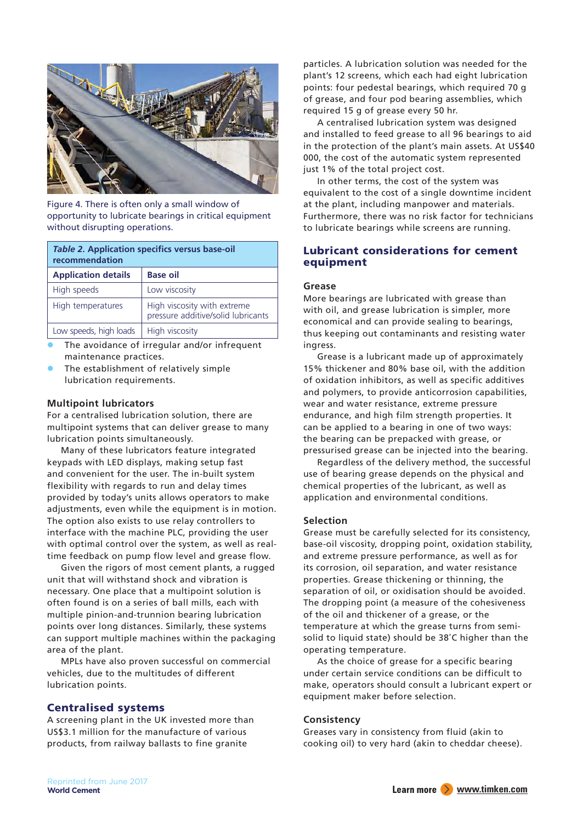

Figure 4. There is often only a small window of opportunity to lubricate bearings in critical equipment without disrupting operations.

| Table 2. Application specifics versus base-oil<br>recommendation |                                                                   |  |  |
|------------------------------------------------------------------|-------------------------------------------------------------------|--|--|
| <b>Application details</b>                                       | <b>Base oil</b>                                                   |  |  |
| High speeds                                                      | Low viscosity                                                     |  |  |
| High temperatures                                                | High viscosity with extreme<br>pressure additive/solid lubricants |  |  |
| Low speeds, high loads                                           | High viscosity                                                    |  |  |

- The avoidance of irregular and/or infrequent maintenance practices.
- The establishment of relatively simple lubrication requirements.

# **Multipoint lubricators**

For a centralised lubrication solution, there are multipoint systems that can deliver grease to many lubrication points simultaneously.

Many of these lubricators feature integrated keypads with LED displays, making setup fast and convenient for the user. The in-built system flexibility with regards to run and delay times provided by today's units allows operators to make adjustments, even while the equipment is in motion. The option also exists to use relay controllers to interface with the machine PLC, providing the user with optimal control over the system, as well as realtime feedback on pump flow level and grease flow.

Given the rigors of most cement plants, a rugged unit that will withstand shock and vibration is necessary. One place that a multipoint solution is often found is on a series of ball mills, each with multiple pinion-and-trunnion bearing lubrication points over long distances. Similarly, these systems can support multiple machines within the packaging area of the plant.

MPLs have also proven successful on commercial vehicles, due to the multitudes of different lubrication points.

# Centralised systems

A screening plant in the UK invested more than US\$3.1 million for the manufacture of various products, from railway ballasts to fine granite

particles. A lubrication solution was needed for the plant's 12 screens, which each had eight lubrication points: four pedestal bearings, which required 70 g of grease, and four pod bearing assemblies, which required 15 g of grease every 50 hr.

A centralised lubrication system was designed and installed to feed grease to all 96 bearings to aid in the protection of the plant's main assets. At US\$40 000, the cost of the automatic system represented just 1% of the total project cost.

In other terms, the cost of the system was equivalent to the cost of a single downtime incident at the plant, including manpower and materials. Furthermore, there was no risk factor for technicians to lubricate bearings while screens are running.

# Lubricant considerations for cement equipment

#### **Grease**

More bearings are lubricated with grease than with oil, and grease lubrication is simpler, more economical and can provide sealing to bearings, thus keeping out contaminants and resisting water ingress.

Grease is a lubricant made up of approximately 15% thickener and 80% base oil, with the addition of oxidation inhibitors, as well as specific additives and polymers, to provide anticorrosion capabilities, wear and water resistance, extreme pressure endurance, and high film strength properties. It can be applied to a bearing in one of two ways: the bearing can be prepacked with grease, or pressurised grease can be injected into the bearing.

Regardless of the delivery method, the successful use of bearing grease depends on the physical and chemical properties of the lubricant, as well as application and environmental conditions.

#### **Selection**

Grease must be carefully selected for its consistency, base-oil viscosity, dropping point, oxidation stability, and extreme pressure performance, as well as for its corrosion, oil separation, and water resistance properties. Grease thickening or thinning, the separation of oil, or oxidisation should be avoided. The dropping point (a measure of the cohesiveness of the oil and thickener of a grease, or the temperature at which the grease turns from semisolid to liquid state) should be 38˚C higher than the operating temperature.

As the choice of grease for a specific bearing under certain service conditions can be difficult to make, operators should consult a lubricant expert or equipment maker before selection.

#### **Consistency**

Greases vary in consistency from fluid (akin to cooking oil) to very hard (akin to cheddar cheese).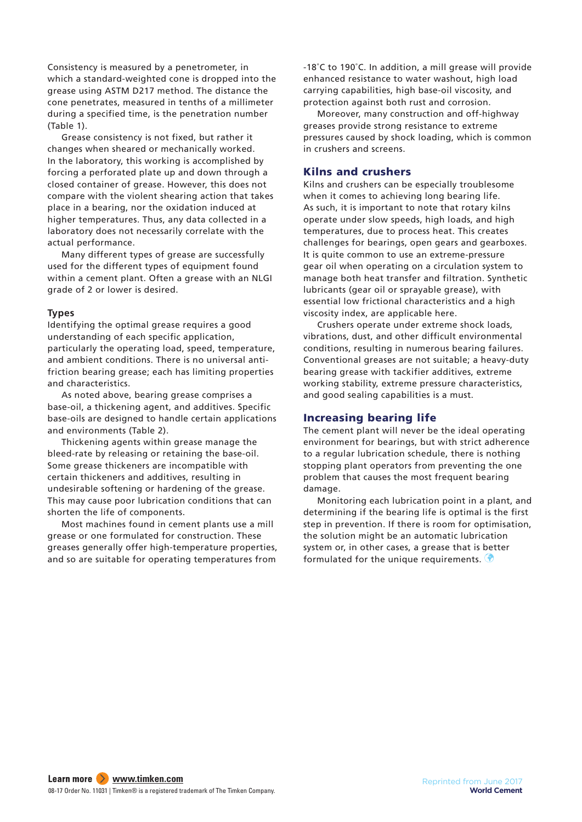Consistency is measured by a penetrometer, in which a standard-weighted cone is dropped into the grease using ASTM D217 method. The distance the cone penetrates, measured in tenths of a millimeter during a specified time, is the penetration number (Table 1).

Grease consistency is not fixed, but rather it changes when sheared or mechanically worked. In the laboratory, this working is accomplished by forcing a perforated plate up and down through a closed container of grease. However, this does not compare with the violent shearing action that takes place in a bearing, nor the oxidation induced at higher temperatures. Thus, any data collected in a laboratory does not necessarily correlate with the actual performance.

Many different types of grease are successfully used for the different types of equipment found within a cement plant. Often a grease with an NLGI grade of 2 or lower is desired.

#### **Types**

Identifying the optimal grease requires a good understanding of each specific application, particularly the operating load, speed, temperature, and ambient conditions. There is no universal antifriction bearing grease; each has limiting properties and characteristics.

As noted above, bearing grease comprises a base-oil, a thickening agent, and additives. Specific base-oils are designed to handle certain applications and environments (Table 2).

Thickening agents within grease manage the bleed-rate by releasing or retaining the base-oil. Some grease thickeners are incompatible with certain thickeners and additives, resulting in undesirable softening or hardening of the grease. This may cause poor lubrication conditions that can shorten the life of components.

Most machines found in cement plants use a mill grease or one formulated for construction. These greases generally offer high-temperature properties, and so are suitable for operating temperatures from -18˚C to 190˚C. In addition, a mill grease will provide enhanced resistance to water washout, high load carrying capabilities, high base-oil viscosity, and protection against both rust and corrosion.

Moreover, many construction and off-highway greases provide strong resistance to extreme pressures caused by shock loading, which is common in crushers and screens.

# Kilns and crushers

Kilns and crushers can be especially troublesome when it comes to achieving long bearing life. As such, it is important to note that rotary kilns operate under slow speeds, high loads, and high temperatures, due to process heat. This creates challenges for bearings, open gears and gearboxes. It is quite common to use an extreme-pressure gear oil when operating on a circulation system to manage both heat transfer and filtration. Synthetic lubricants (gear oil or sprayable grease), with essential low frictional characteristics and a high viscosity index, are applicable here.

Crushers operate under extreme shock loads, vibrations, dust, and other difficult environmental conditions, resulting in numerous bearing failures. Conventional greases are not suitable; a heavy-duty bearing grease with tackifier additives, extreme working stability, extreme pressure characteristics, and good sealing capabilities is a must.

# Increasing bearing life

The cement plant will never be the ideal operating environment for bearings, but with strict adherence to a regular lubrication schedule, there is nothing stopping plant operators from preventing the one problem that causes the most frequent bearing damage.

Monitoring each lubrication point in a plant, and determining if the bearing life is optimal is the first step in prevention. If there is room for optimisation, the solution might be an automatic lubrication system or, in other cases, a grease that is better formulated for the unique requirements.  $\bigcirc$